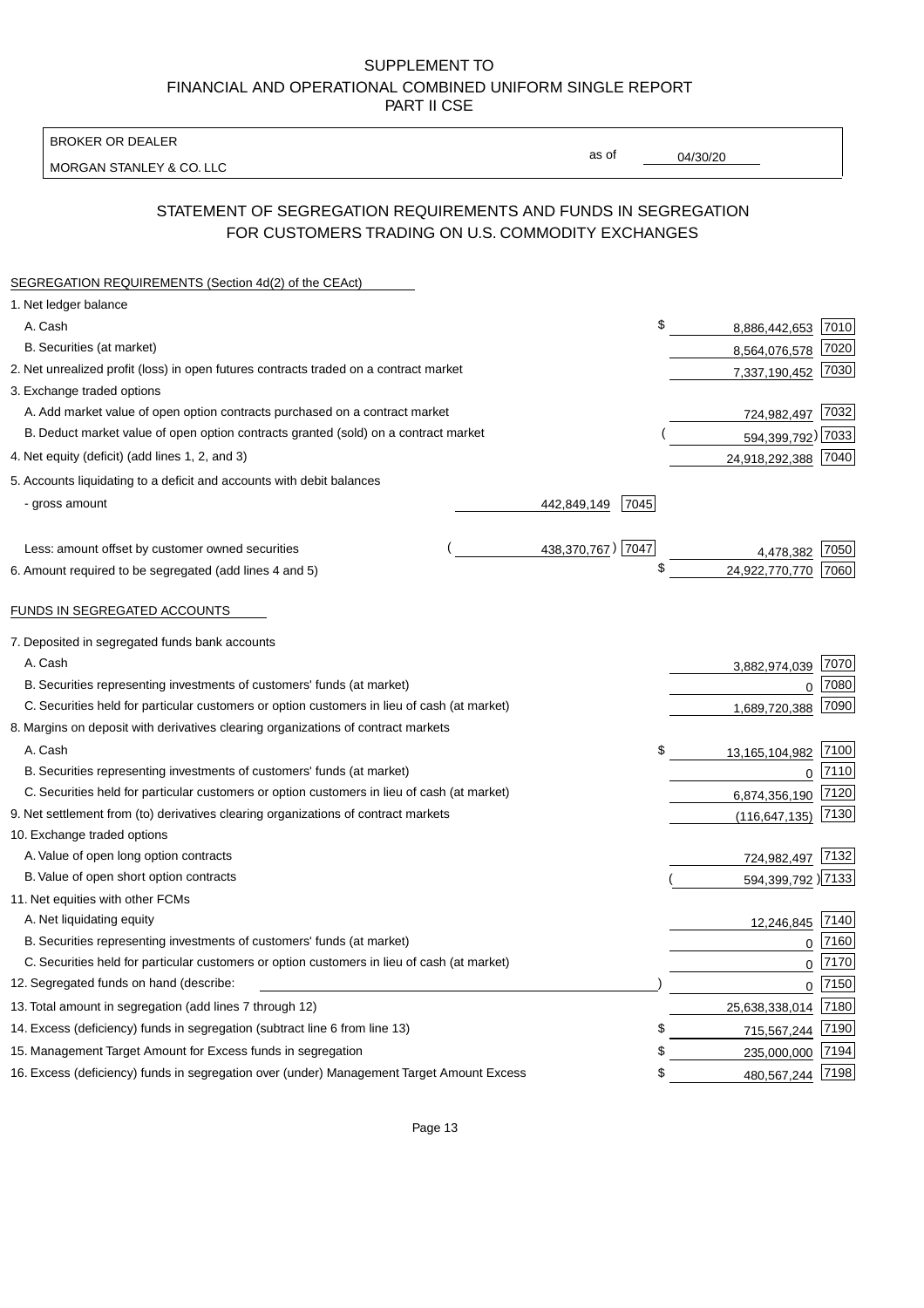BROKER OR DEALER

MORGAN STANLEY & CO. LLC

04/30/20

as of

# STATEMENT OF SEGREGATION REQUIREMENTS AND FUNDS IN SEGREGATION FOR CUSTOMERS TRADING ON U.S. COMMODITY EXCHANGES

| SEGREGATION REQUIREMENTS (Section 4d(2) of the CEAct)                                       |                     |    |                     |      |
|---------------------------------------------------------------------------------------------|---------------------|----|---------------------|------|
| 1. Net ledger balance                                                                       |                     |    |                     |      |
| A. Cash                                                                                     |                     | \$ | 8,886,442,653       | 7010 |
| B. Securities (at market)                                                                   |                     |    | 8,564,076,578       | 7020 |
| 2. Net unrealized profit (loss) in open futures contracts traded on a contract market       |                     |    | 7,337,190,452       | 7030 |
| 3. Exchange traded options                                                                  |                     |    |                     |      |
| A. Add market value of open option contracts purchased on a contract market                 |                     |    | 724,982,497 7032    |      |
| B. Deduct market value of open option contracts granted (sold) on a contract market         |                     |    | 594,399,792) 7033   |      |
| 4. Net equity (deficit) (add lines 1, 2, and 3)                                             |                     |    | 24,918,292,388 7040 |      |
| 5. Accounts liquidating to a deficit and accounts with debit balances                       |                     |    |                     |      |
| - gross amount                                                                              | 7045<br>442,849,149 |    |                     |      |
|                                                                                             |                     |    |                     |      |
| Less: amount offset by customer owned securities                                            | 438,370,767) 7047   |    | 4.478.382           | 7050 |
| 6. Amount required to be segregated (add lines 4 and 5)                                     |                     | \$ | 24,922,770,770      | 7060 |
|                                                                                             |                     |    |                     |      |
| FUNDS IN SEGREGATED ACCOUNTS                                                                |                     |    |                     |      |
| 7. Deposited in segregated funds bank accounts                                              |                     |    |                     |      |
| A. Cash                                                                                     |                     |    | 3,882,974,039       | 7070 |
| B. Securities representing investments of customers' funds (at market)                      |                     |    | $\Omega$            | 7080 |
| C. Securities held for particular customers or option customers in lieu of cash (at market) |                     |    | 1,689,720,388       | 7090 |
| 8. Margins on deposit with derivatives clearing organizations of contract markets           |                     |    |                     |      |
| A. Cash                                                                                     |                     | \$ | 13,165,104,982      | 7100 |
| B. Securities representing investments of customers' funds (at market)                      |                     |    | $\mathbf{0}$        | 7110 |
| C. Securities held for particular customers or option customers in lieu of cash (at market) |                     |    | 6,874,356,190       | 7120 |
| 9. Net settlement from (to) derivatives clearing organizations of contract markets          |                     |    | (116, 647, 135)     | 7130 |
| 10. Exchange traded options                                                                 |                     |    |                     |      |
| A. Value of open long option contracts                                                      |                     |    | 724,982,497         | 7132 |
| B. Value of open short option contracts                                                     |                     |    | 594,399,792 )7133   |      |
| 11. Net equities with other FCMs                                                            |                     |    |                     |      |
| A. Net liquidating equity                                                                   |                     |    | 12,246,845          | 7140 |
| B. Securities representing investments of customers' funds (at market)                      |                     |    | $\Omega$            | 7160 |
| C. Securities held for particular customers or option customers in lieu of cash (at market) |                     |    | $\mathbf 0$         | 7170 |
| 12. Segregated funds on hand (describe:                                                     |                     |    | $\mathbf 0$         | 7150 |
| 13. Total amount in segregation (add lines 7 through 12)                                    |                     |    | 25,638,338,014      | 7180 |
| 14. Excess (deficiency) funds in segregation (subtract line 6 from line 13)                 |                     | S  | 715,567,244         | 7190 |
| 15. Management Target Amount for Excess funds in segregation                                |                     | \$ | 235,000,000         | 7194 |
| 16. Excess (deficiency) funds in segregation over (under) Management Target Amount Excess   |                     | \$ | 480,567,244         | 7198 |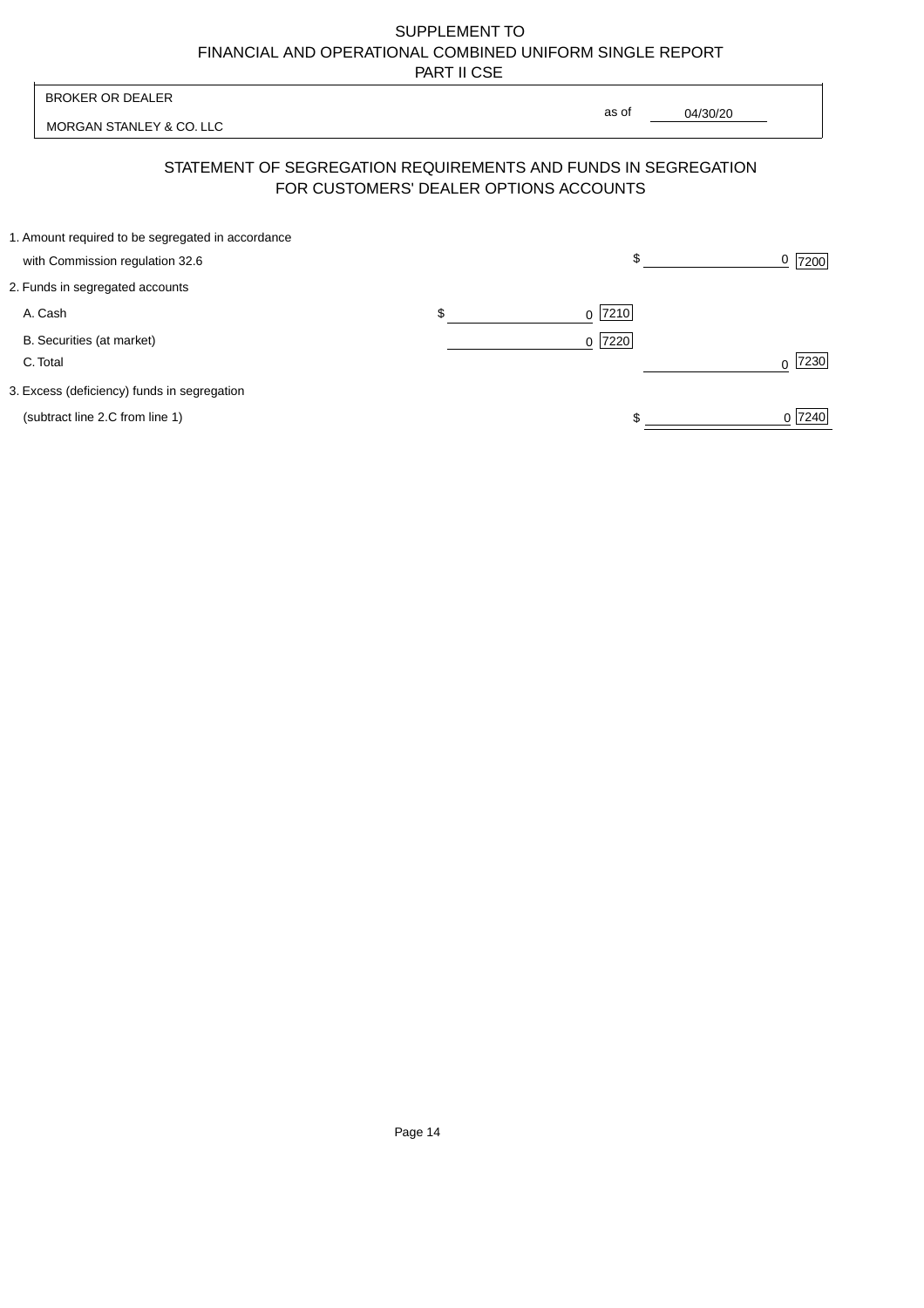| <b>BROKER OR DEALER</b>                                                                                  |                | as of |          |           |
|----------------------------------------------------------------------------------------------------------|----------------|-------|----------|-----------|
| MORGAN STANLEY & CO. LLC                                                                                 |                |       | 04/30/20 |           |
| STATEMENT OF SEGREGATION REQUIREMENTS AND FUNDS IN SEGREGATION<br>FOR CUSTOMERS' DEALER OPTIONS ACCOUNTS |                |       |          |           |
| 1. Amount required to be segregated in accordance<br>with Commission regulation 32.6                     |                | \$    |          | 7200      |
| 2. Funds in segregated accounts                                                                          |                |       |          |           |
| A. Cash                                                                                                  | \$<br>$\Omega$ | 7210  |          |           |
| B. Securities (at market)<br>C. Total                                                                    | $\Omega$       | 7220  |          | 7230<br>∩ |
| 3. Excess (deficiency) funds in segregation                                                              |                |       |          |           |
| (subtract line 2.C from line 1)                                                                          |                |       |          | 0 7240    |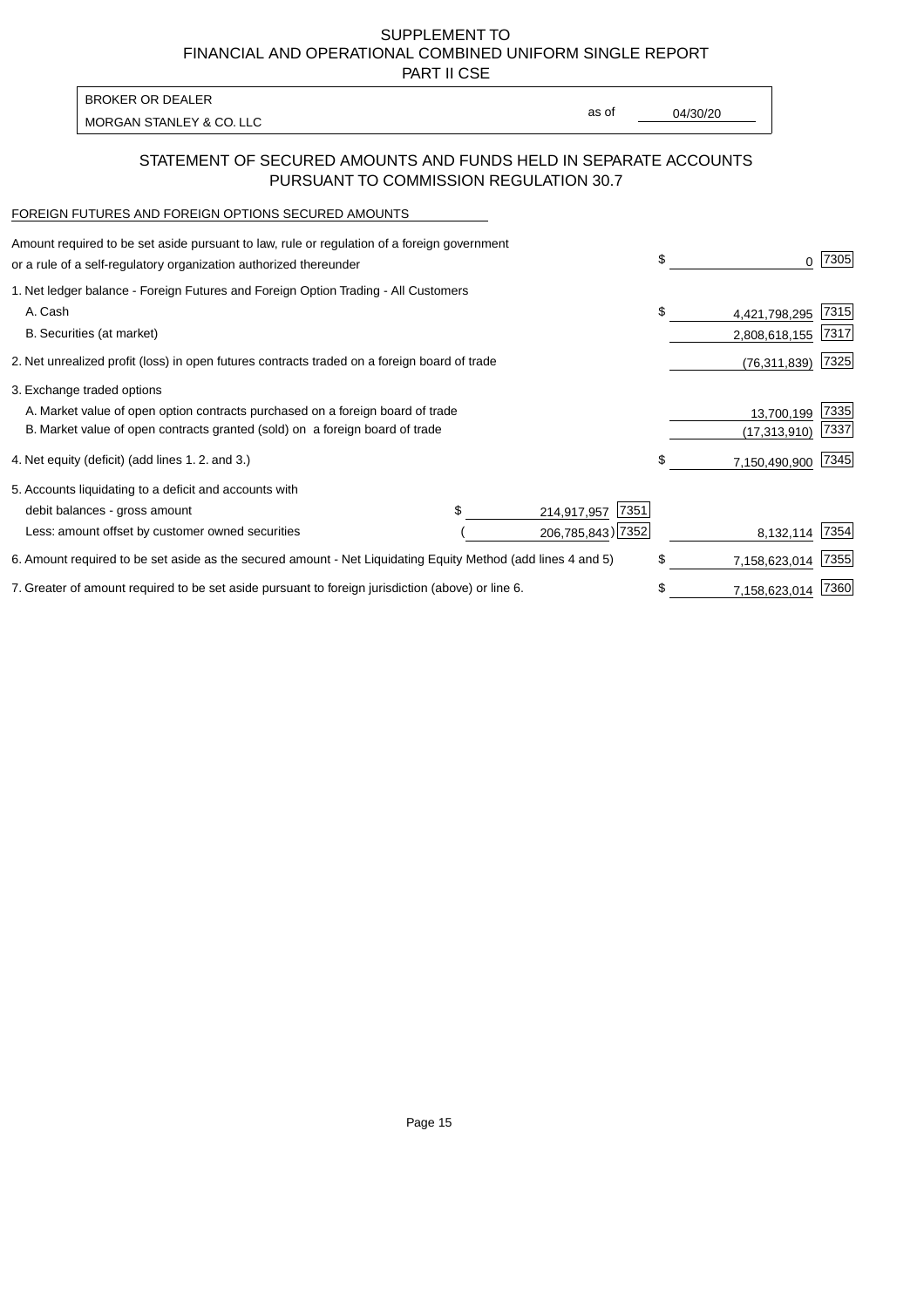PART II CSE

| BROKER OR DEALER         |       |          |
|--------------------------|-------|----------|
|                          | as of | 04/30/20 |
| MORGAN STANLEY & CO. LLC |       |          |

## STATEMENT OF SECURED AMOUNTS AND FUNDS HELD IN SEPARATE ACCOUNTS PURSUANT TO COMMISSION REGULATION 30.7

#### FOREIGN FUTURES AND FOREIGN OPTIONS SECURED AMOUNTS

| Amount required to be set aside pursuant to law, rule or regulation of a foreign government<br>or a rule of a self-regulatory organization authorized thereunder |  |                     | \$<br>0             | 7305 |
|------------------------------------------------------------------------------------------------------------------------------------------------------------------|--|---------------------|---------------------|------|
| 1. Net ledger balance - Foreign Futures and Foreign Option Trading - All Customers                                                                               |  |                     |                     |      |
| A. Cash                                                                                                                                                          |  |                     | \$<br>4,421,798,295 | 7315 |
| B. Securities (at market)                                                                                                                                        |  |                     | 2,808,618,155       | 7317 |
| 2. Net unrealized profit (loss) in open futures contracts traded on a foreign board of trade                                                                     |  |                     | (76, 311, 839)      | 7325 |
| 3. Exchange traded options                                                                                                                                       |  |                     |                     |      |
| A. Market value of open option contracts purchased on a foreign board of trade                                                                                   |  |                     | 13,700,199          | 7335 |
| B. Market value of open contracts granted (sold) on a foreign board of trade                                                                                     |  |                     | (17, 313, 910)      | 7337 |
| 4. Net equity (deficit) (add lines 1. 2. and 3.)                                                                                                                 |  |                     | \$<br>7,150,490,900 | 7345 |
| 5. Accounts liquidating to a deficit and accounts with                                                                                                           |  |                     |                     |      |
| debit balances - gross amount                                                                                                                                    |  | 7351<br>214,917,957 |                     |      |
| Less: amount offset by customer owned securities                                                                                                                 |  | 206,785,843) 7352   | 8,132,114           | 7354 |
| 6. Amount required to be set aside as the secured amount - Net Liquidating Equity Method (add lines 4 and 5)                                                     |  |                     | \$<br>7,158,623,014 | 7355 |
| 7. Greater of amount required to be set aside pursuant to foreign jurisdiction (above) or line 6.                                                                |  |                     | \$<br>7,158,623,014 | 7360 |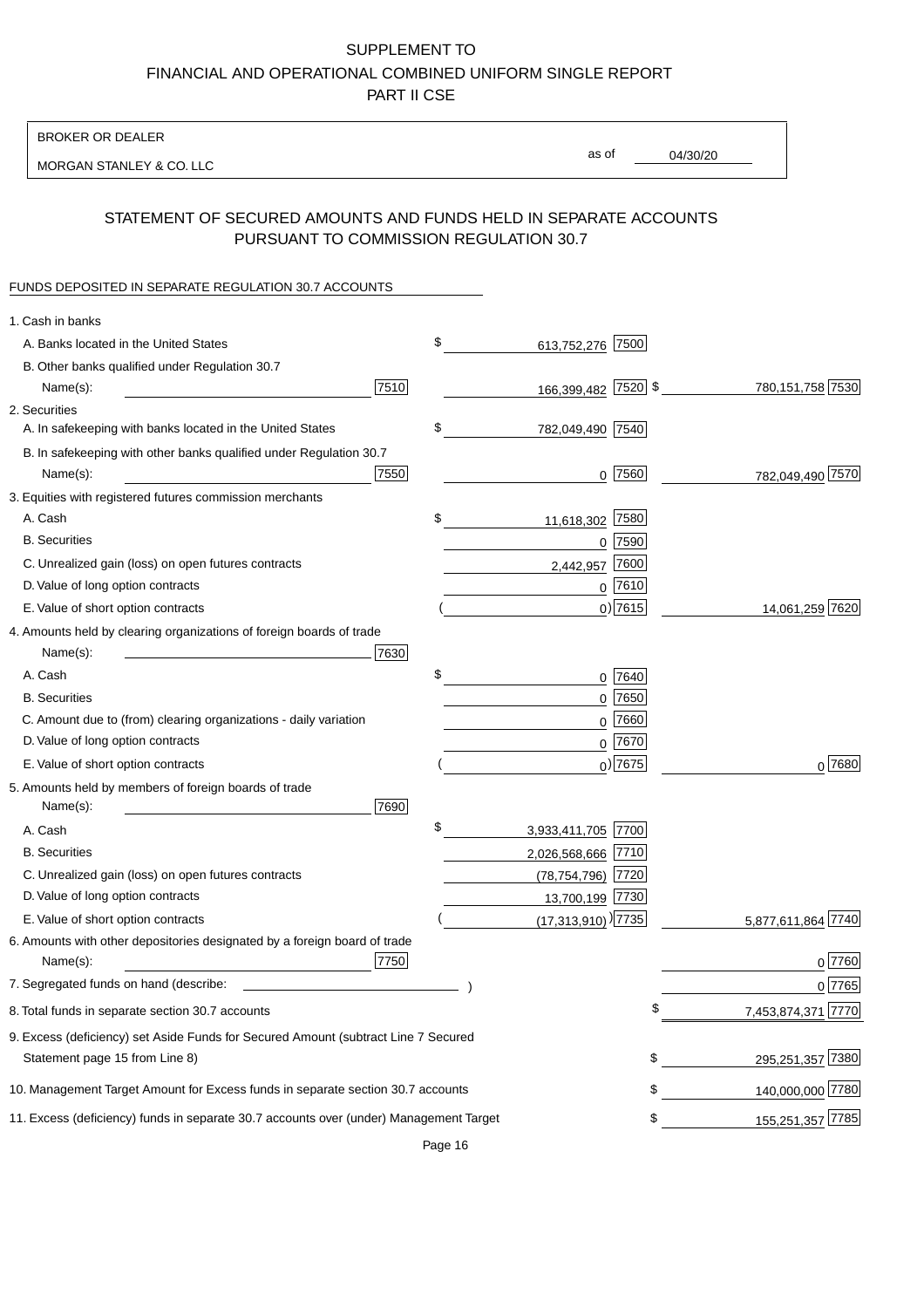BROKER OR DEALER

MORGAN STANLEY & CO. LLC

04/30/20 as of

# STATEMENT OF SECURED AMOUNTS AND FUNDS HELD IN SEPARATE ACCOUNTS PURSUANT TO COMMISSION REGULATION 30.7

#### FUNDS DEPOSITED IN SEPARATE REGULATION 30.7 ACCOUNTS

| 1. Cash in banks                                                                              |                                    |                         |
|-----------------------------------------------------------------------------------------------|------------------------------------|-------------------------|
| A. Banks located in the United States                                                         | \$<br>613,752,276 7500             |                         |
| B. Other banks qualified under Regulation 30.7                                                |                                    |                         |
| 7510<br>Name(s):                                                                              | 166,399,482 7520 \$                | 780, 151, 758 7530      |
| 2. Securities                                                                                 |                                    |                         |
| A. In safekeeping with banks located in the United States                                     | \$<br>782,049,490 7540             |                         |
| B. In safekeeping with other banks qualified under Regulation 30.7                            |                                    |                         |
| 7550<br>Name(s):                                                                              | $0$  7560                          | 782,049,490 7570        |
| 3. Equities with registered futures commission merchants                                      |                                    |                         |
| A. Cash                                                                                       | \$<br>11,618,302 7580              |                         |
| <b>B.</b> Securities                                                                          | $0$  7590                          |                         |
| C. Unrealized gain (loss) on open futures contracts                                           | 7600<br>2,442,957                  |                         |
| D. Value of long option contracts                                                             | $0$ 7610                           |                         |
| E. Value of short option contracts                                                            | $0)$ 7615                          | 14,061,259 7620         |
| 4. Amounts held by clearing organizations of foreign boards of trade                          |                                    |                         |
| Name(s):<br>7630                                                                              |                                    |                         |
| A. Cash                                                                                       | \$<br>$0$  7640                    |                         |
| <b>B.</b> Securities                                                                          | 0 7650                             |                         |
| C. Amount due to (from) clearing organizations - daily variation                              | 7660<br>0                          |                         |
| D. Value of long option contracts                                                             | 0 7670                             |                         |
| E. Value of short option contracts                                                            | $0$ ) 7675                         | $0^{7680}$              |
| 5. Amounts held by members of foreign boards of trade<br>7690<br>Name(s):                     |                                    |                         |
| A. Cash                                                                                       | \$<br>3,933,411,705 7700           |                         |
| <b>B.</b> Securities                                                                          | 2,026,568,666 7710                 |                         |
| C. Unrealized gain (loss) on open futures contracts                                           | (78,754,796) 7720                  |                         |
| D. Value of long option contracts                                                             | 13,700,199 7730                    |                         |
| E. Value of short option contracts                                                            | $(17,313,910)$ <sup>)</sup> [7735] | 5,877,611,864 7740      |
| 6. Amounts with other depositories designated by a foreign board of trade<br>7750<br>Name(s): |                                    | 0 7760                  |
| 7. Segregated funds on hand (describe:                                                        |                                    | 0 7765                  |
| 8. Total funds in separate section 30.7 accounts                                              |                                    | 7,453,874,371 7770<br>Φ |
| 9. Excess (deficiency) set Aside Funds for Secured Amount (subtract Line 7 Secured            |                                    |                         |
| Statement page 15 from Line 8)                                                                |                                    | 295,251,357 7380<br>\$  |
| 10. Management Target Amount for Excess funds in separate section 30.7 accounts               |                                    | \$<br>140,000,000 7780  |
| 11. Excess (deficiency) funds in separate 30.7 accounts over (under) Management Target        |                                    | 155,251,357 7785<br>\$  |

Page 16